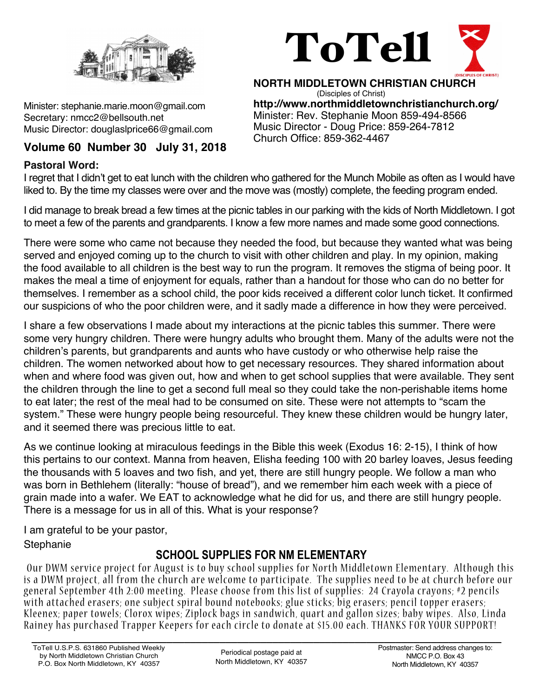

Minister: stephanie.marie.moon@gmail.com Secretary: nmcc2@bellsouth.net Music Director: douglaslprice66@gmail.com

## **Volume 60 Number 30 July 31, 2018**

## **Pastoral Word:**



**NORTH MIDDLETOWN CHRISTIAN CHURCH** (Disciples of Christ) **http://www.northmiddletownchristianchurch.org/** Minister: Rev. Stephanie Moon 859-494-8566 Music Director - Doug Price: 859-264-7812 Church Office: 859-362-4467

I regret that I didn't get to eat lunch with the children who gathered for the Munch Mobile as often as I would have liked to. By the time my classes were over and the move was (mostly) complete, the feeding program ended.

I did manage to break bread a few times at the picnic tables in our parking with the kids of North Middletown. I got to meet a few of the parents and grandparents. I know a few more names and made some good connections.

There were some who came not because they needed the food, but because they wanted what was being served and enjoyed coming up to the church to visit with other children and play. In my opinion, making the food available to all children is the best way to run the program. It removes the stigma of being poor. It makes the meal a time of enjoyment for equals, rather than a handout for those who can do no better for themselves. I remember as a school child, the poor kids received a different color lunch ticket. It confirmed our suspicions of who the poor children were, and it sadly made a difference in how they were perceived.

I share a few observations I made about my interactions at the picnic tables this summer. There were some very hungry children. There were hungry adults who brought them. Many of the adults were not the children's parents, but grandparents and aunts who have custody or who otherwise help raise the children. The women networked about how to get necessary resources. They shared information about when and where food was given out, how and when to get school supplies that were available. They sent the children through the line to get a second full meal so they could take the non-perishable items home to eat later; the rest of the meal had to be consumed on site. These were not attempts to "scam the system." These were hungry people being resourceful. They knew these children would be hungry later, and it seemed there was precious little to eat.

As we continue looking at miraculous feedings in the Bible this week (Exodus 16: 2-15), I think of how this pertains to our context. Manna from heaven, Elisha feeding 100 with 20 barley loaves, Jesus feeding the thousands with 5 loaves and two fish, and yet, there are still hungry people. We follow a man who was born in Bethlehem (literally: "house of bread"), and we remember him each week with a piece of grain made into a wafer. We EAT to acknowledge what he did for us, and there are still hungry people. There is a message for us in all of this. What is your response?

I am grateful to be your pastor, **Stephanie** 

# **SCHOOL SUPPLIES FOR NM ELEMENTARY**

Our DWM service project for August is to buy school supplies for North Middletown Elementary. Although this is a DWM project, all from the church are welcome to participate. The supplies need to be at church before our general September 4th 2:00 meeting. Please choose from this list of supplies: 24 Crayola crayons; #2 pencils with attached erasers; one subject spiral bound notebooks; glue sticks; big erasers; pencil topper erasers; Kleenex; paper towels; Clorox wipes; Ziplock bags in sandwich, quart and gallon sizes; baby wipes. Also, Linda Rainey has purchased Trapper Keepers for each circle to donate at \$15.00 each. THANKS FOR YOUR SUPPORT!